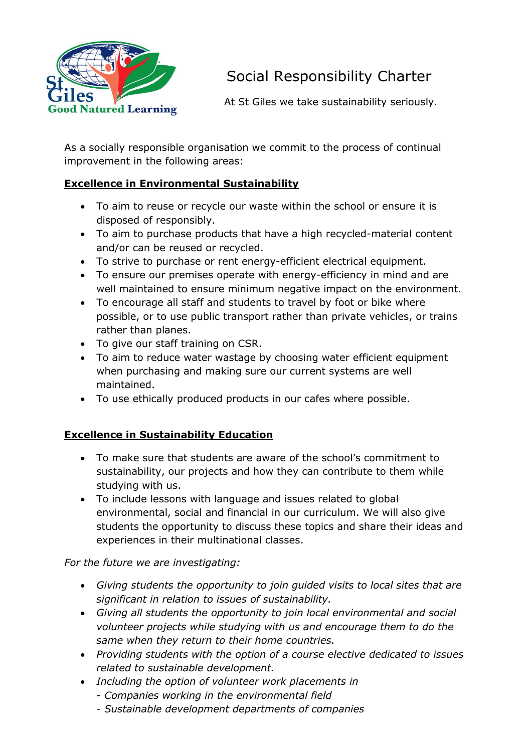

# Social Responsibility Charter

At St Giles we take sustainability seriously.

As a socially responsible organisation we commit to the process of continual improvement in the following areas:

### **Excellence in Environmental Sustainability**

- To aim to reuse or recycle our waste within the school or ensure it is disposed of responsibly.
- To aim to purchase products that have a high recycled-material content and/or can be reused or recycled.
- To strive to purchase or rent energy-efficient electrical equipment.
- To ensure our premises operate with energy-efficiency in mind and are well maintained to ensure minimum negative impact on the environment.
- To encourage all staff and students to travel by foot or bike where possible, or to use public transport rather than private vehicles, or trains rather than planes.
- To give our staff training on CSR.
- To aim to reduce water wastage by choosing water efficient equipment when purchasing and making sure our current systems are well maintained.
- To use ethically produced products in our cafes where possible.

#### **Excellence in Sustainability Education**

- To make sure that students are aware of the school's commitment to sustainability, our projects and how they can contribute to them while studying with us.
- To include lessons with language and issues related to global environmental, social and financial in our curriculum. We will also give students the opportunity to discuss these topics and share their ideas and experiences in their multinational classes.

*For the future we are investigating:*

- *Giving students the opportunity to join guided visits to local sites that are significant in relation to issues of sustainability.*
- *Giving all students the opportunity to join local environmental and social volunteer projects while studying with us and encourage them to do the same when they return to their home countries.*
- *Providing students with the option of a course elective dedicated to issues related to sustainable development.*
- *Including the option of volunteer work placements in*
	- *- Companies working in the environmental field*
	- *- Sustainable development departments of companies*